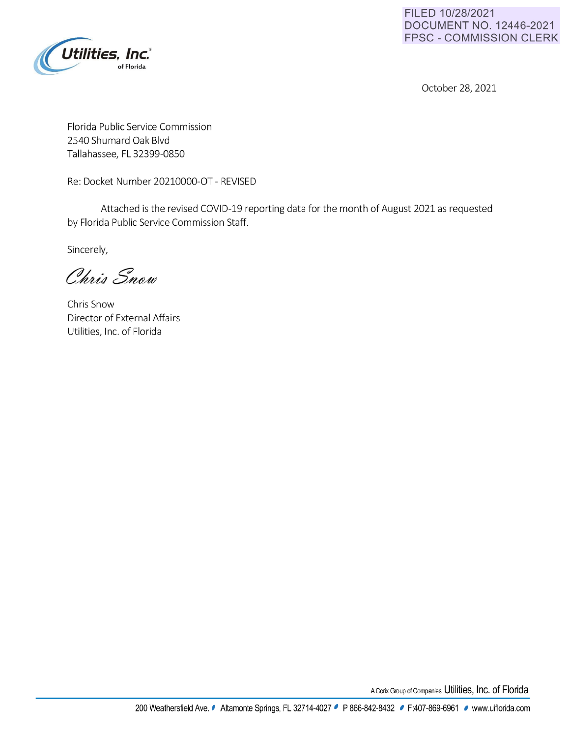

**FILED 10/28/2021 DOCUMENT NO. 12446-2021 FPSC - COMMISSION CLERK** 

October 28, 2021

Florida Public Service Commission 2540 Shumard Oak Blvd Tallahassee, FL 32399-0850

Re: Docket Number 20210000-OT - REVISED

Attached is the revised COVID-19 reporting data for the month of August 2021 as requested by Florida Public Service Commission Staff.

Sincerely,

Chris Snow

Chris Snow Director of External Affairs Utilities, Inc. of Florida

ACorixGroupofCompanies **Utilities, Inc. of Florida**